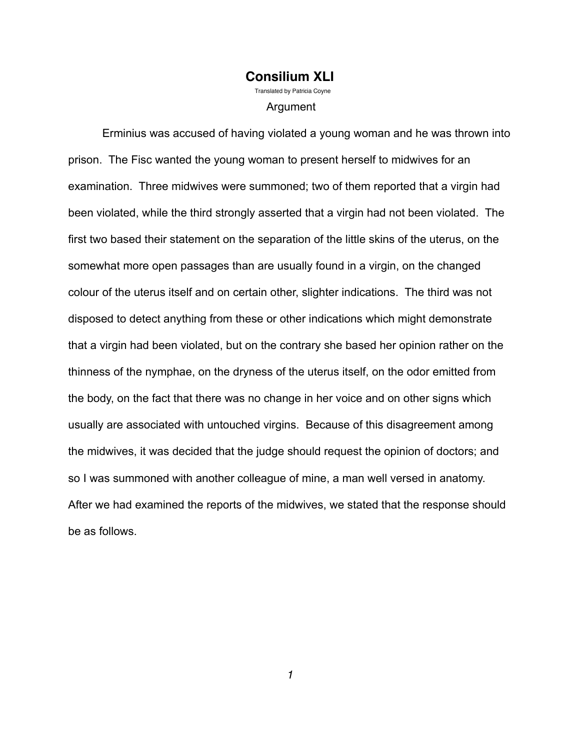#### **Consilium XLI** Translated by Patricia Covne

Argument

 Erminius was accused of having violated a young woman and he was thrown into prison. The Fisc wanted the young woman to present herself to midwives for an examination. Three midwives were summoned; two of them reported that a virgin had been violated, while the third strongly asserted that a virgin had not been violated. The first two based their statement on the separation of the little skins of the uterus, on the somewhat more open passages than are usually found in a virgin, on the changed colour of the uterus itself and on certain other, slighter indications. The third was not disposed to detect anything from these or other indications which might demonstrate that a virgin had been violated, but on the contrary she based her opinion rather on the thinness of the nymphae, on the dryness of the uterus itself, on the odor emitted from the body, on the fact that there was no change in her voice and on other signs which usually are associated with untouched virgins. Because of this disagreement among the midwives, it was decided that the judge should request the opinion of doctors; and so I was summoned with another colleague of mine, a man well versed in anatomy. After we had examined the reports of the midwives, we stated that the response should be as follows.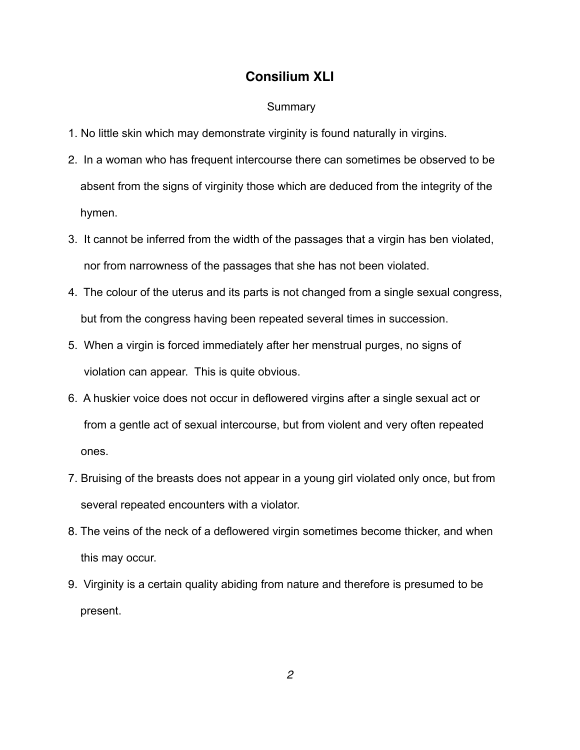#### **Summary**

- 1. No little skin which may demonstrate virginity is found naturally in virgins.
- 2. In a woman who has frequent intercourse there can sometimes be observed to be absent from the signs of virginity those which are deduced from the integrity of the hymen.
- 3. It cannot be inferred from the width of the passages that a virgin has ben violated, nor from narrowness of the passages that she has not been violated.
- 4. The colour of the uterus and its parts is not changed from a single sexual congress, but from the congress having been repeated several times in succession.
- 5. When a virgin is forced immediately after her menstrual purges, no signs of violation can appear. This is quite obvious.
- 6. A huskier voice does not occur in deflowered virgins after a single sexual act or from a gentle act of sexual intercourse, but from violent and very often repeated ones.
- 7. Bruising of the breasts does not appear in a young girl violated only once, but from several repeated encounters with a violator.
- 8. The veins of the neck of a deflowered virgin sometimes become thicker, and when this may occur.
- 9. Virginity is a certain quality abiding from nature and therefore is presumed to be present.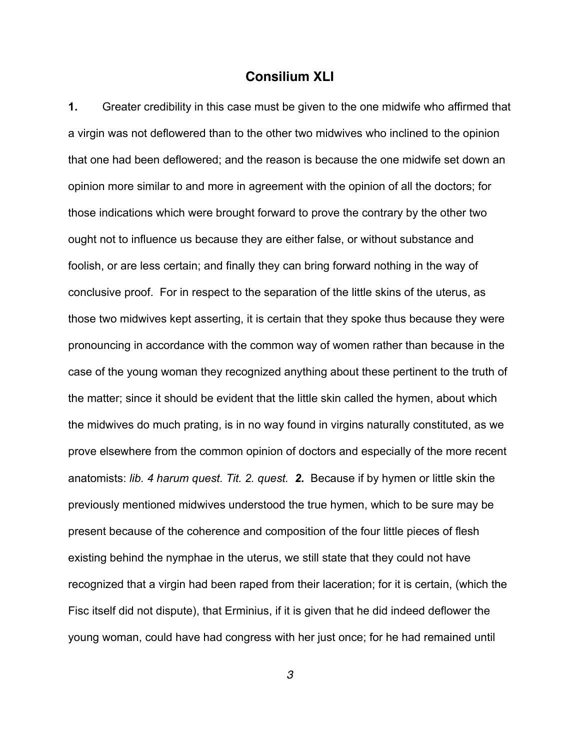**1.** Greater credibility in this case must be given to the one midwife who affirmed that a virgin was not deflowered than to the other two midwives who inclined to the opinion that one had been deflowered; and the reason is because the one midwife set down an opinion more similar to and more in agreement with the opinion of all the doctors; for those indications which were brought forward to prove the contrary by the other two ought not to influence us because they are either false, or without substance and foolish, or are less certain; and finally they can bring forward nothing in the way of conclusive proof. For in respect to the separation of the little skins of the uterus, as those two midwives kept asserting, it is certain that they spoke thus because they were pronouncing in accordance with the common way of women rather than because in the case of the young woman they recognized anything about these pertinent to the truth of the matter; since it should be evident that the little skin called the hymen, about which the midwives do much prating, is in no way found in virgins naturally constituted, as we prove elsewhere from the common opinion of doctors and especially of the more recent anatomists: *lib. 4 harum quest. Tit. 2. quest. 2.* Because if by hymen or little skin the previously mentioned midwives understood the true hymen, which to be sure may be present because of the coherence and composition of the four little pieces of flesh existing behind the nymphae in the uterus, we still state that they could not have recognized that a virgin had been raped from their laceration; for it is certain, (which the Fisc itself did not dispute), that Erminius, if it is given that he did indeed deflower the young woman, could have had congress with her just once; for he had remained until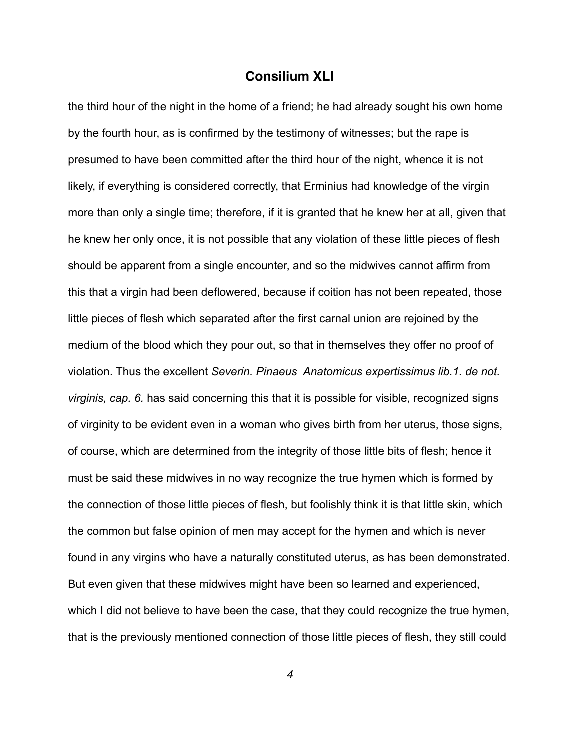the third hour of the night in the home of a friend; he had already sought his own home by the fourth hour, as is confirmed by the testimony of witnesses; but the rape is presumed to have been committed after the third hour of the night, whence it is not likely, if everything is considered correctly, that Erminius had knowledge of the virgin more than only a single time; therefore, if it is granted that he knew her at all, given that he knew her only once, it is not possible that any violation of these little pieces of flesh should be apparent from a single encounter, and so the midwives cannot affirm from this that a virgin had been deflowered, because if coition has not been repeated, those little pieces of flesh which separated after the first carnal union are rejoined by the medium of the blood which they pour out, so that in themselves they offer no proof of violation. Thus the excellent *Severin. Pinaeus Anatomicus expertissimus lib.1. de not. virginis, cap. 6.* has said concerning this that it is possible for visible, recognized signs of virginity to be evident even in a woman who gives birth from her uterus, those signs, of course, which are determined from the integrity of those little bits of flesh; hence it must be said these midwives in no way recognize the true hymen which is formed by the connection of those little pieces of flesh, but foolishly think it is that little skin, which the common but false opinion of men may accept for the hymen and which is never found in any virgins who have a naturally constituted uterus, as has been demonstrated. But even given that these midwives might have been so learned and experienced, which I did not believe to have been the case, that they could recognize the true hymen, that is the previously mentioned connection of those little pieces of flesh, they still could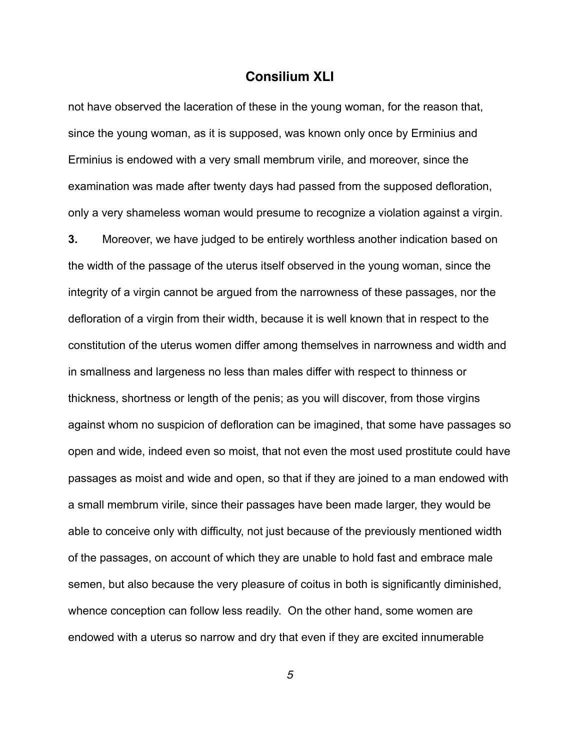not have observed the laceration of these in the young woman, for the reason that, since the young woman, as it is supposed, was known only once by Erminius and Erminius is endowed with a very small membrum virile, and moreover, since the examination was made after twenty days had passed from the supposed defloration, only a very shameless woman would presume to recognize a violation against a virgin.

**3.** Moreover, we have judged to be entirely worthless another indication based on the width of the passage of the uterus itself observed in the young woman, since the integrity of a virgin cannot be argued from the narrowness of these passages, nor the defloration of a virgin from their width, because it is well known that in respect to the constitution of the uterus women differ among themselves in narrowness and width and in smallness and largeness no less than males differ with respect to thinness or thickness, shortness or length of the penis; as you will discover, from those virgins against whom no suspicion of defloration can be imagined, that some have passages so open and wide, indeed even so moist, that not even the most used prostitute could have passages as moist and wide and open, so that if they are joined to a man endowed with a small membrum virile, since their passages have been made larger, they would be able to conceive only with difficulty, not just because of the previously mentioned width of the passages, on account of which they are unable to hold fast and embrace male semen, but also because the very pleasure of coitus in both is significantly diminished, whence conception can follow less readily. On the other hand, some women are endowed with a uterus so narrow and dry that even if they are excited innumerable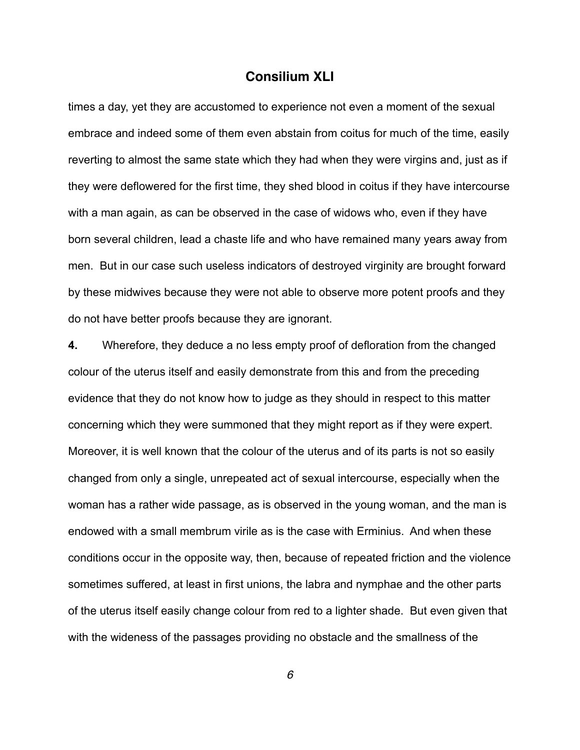times a day, yet they are accustomed to experience not even a moment of the sexual embrace and indeed some of them even abstain from coitus for much of the time, easily reverting to almost the same state which they had when they were virgins and, just as if they were deflowered for the first time, they shed blood in coitus if they have intercourse with a man again, as can be observed in the case of widows who, even if they have born several children, lead a chaste life and who have remained many years away from men. But in our case such useless indicators of destroyed virginity are brought forward by these midwives because they were not able to observe more potent proofs and they do not have better proofs because they are ignorant.

**4.** Wherefore, they deduce a no less empty proof of defloration from the changed colour of the uterus itself and easily demonstrate from this and from the preceding evidence that they do not know how to judge as they should in respect to this matter concerning which they were summoned that they might report as if they were expert. Moreover, it is well known that the colour of the uterus and of its parts is not so easily changed from only a single, unrepeated act of sexual intercourse, especially when the woman has a rather wide passage, as is observed in the young woman, and the man is endowed with a small membrum virile as is the case with Erminius. And when these conditions occur in the opposite way, then, because of repeated friction and the violence sometimes suffered, at least in first unions, the labra and nymphae and the other parts of the uterus itself easily change colour from red to a lighter shade. But even given that with the wideness of the passages providing no obstacle and the smallness of the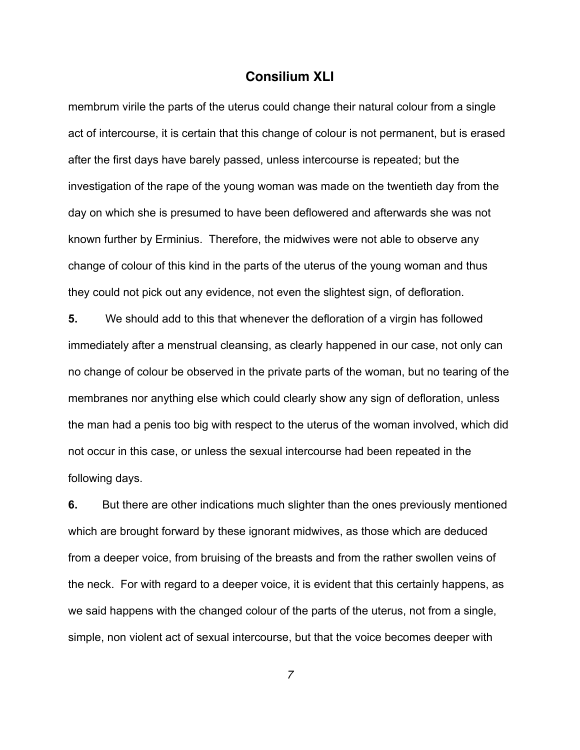membrum virile the parts of the uterus could change their natural colour from a single act of intercourse, it is certain that this change of colour is not permanent, but is erased after the first days have barely passed, unless intercourse is repeated; but the investigation of the rape of the young woman was made on the twentieth day from the day on which she is presumed to have been deflowered and afterwards she was not known further by Erminius. Therefore, the midwives were not able to observe any change of colour of this kind in the parts of the uterus of the young woman and thus they could not pick out any evidence, not even the slightest sign, of defloration.

**5.** We should add to this that whenever the defloration of a virgin has followed immediately after a menstrual cleansing, as clearly happened in our case, not only can no change of colour be observed in the private parts of the woman, but no tearing of the membranes nor anything else which could clearly show any sign of defloration, unless the man had a penis too big with respect to the uterus of the woman involved, which did not occur in this case, or unless the sexual intercourse had been repeated in the following days.

**6.** But there are other indications much slighter than the ones previously mentioned which are brought forward by these ignorant midwives, as those which are deduced from a deeper voice, from bruising of the breasts and from the rather swollen veins of the neck. For with regard to a deeper voice, it is evident that this certainly happens, as we said happens with the changed colour of the parts of the uterus, not from a single, simple, non violent act of sexual intercourse, but that the voice becomes deeper with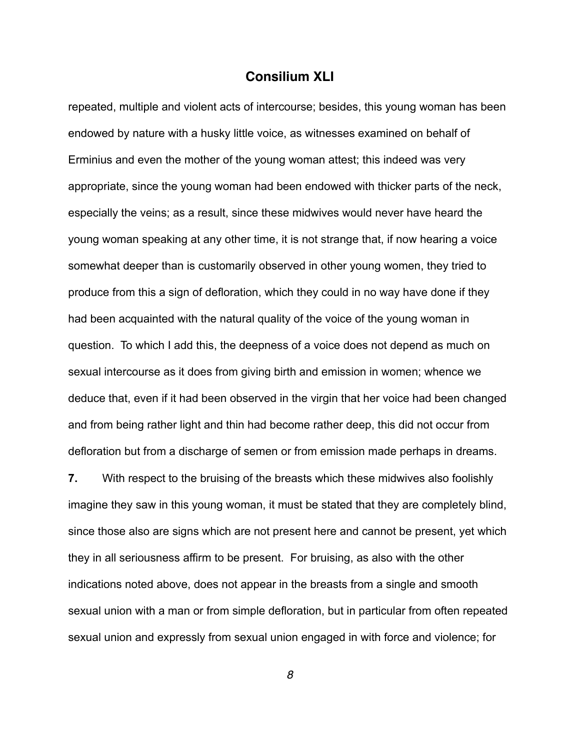repeated, multiple and violent acts of intercourse; besides, this young woman has been endowed by nature with a husky little voice, as witnesses examined on behalf of Erminius and even the mother of the young woman attest; this indeed was very appropriate, since the young woman had been endowed with thicker parts of the neck, especially the veins; as a result, since these midwives would never have heard the young woman speaking at any other time, it is not strange that, if now hearing a voice somewhat deeper than is customarily observed in other young women, they tried to produce from this a sign of defloration, which they could in no way have done if they had been acquainted with the natural quality of the voice of the young woman in question. To which I add this, the deepness of a voice does not depend as much on sexual intercourse as it does from giving birth and emission in women; whence we deduce that, even if it had been observed in the virgin that her voice had been changed and from being rather light and thin had become rather deep, this did not occur from defloration but from a discharge of semen or from emission made perhaps in dreams.

**7.** With respect to the bruising of the breasts which these midwives also foolishly imagine they saw in this young woman, it must be stated that they are completely blind, since those also are signs which are not present here and cannot be present, yet which they in all seriousness affirm to be present. For bruising, as also with the other indications noted above, does not appear in the breasts from a single and smooth sexual union with a man or from simple defloration, but in particular from often repeated sexual union and expressly from sexual union engaged in with force and violence; for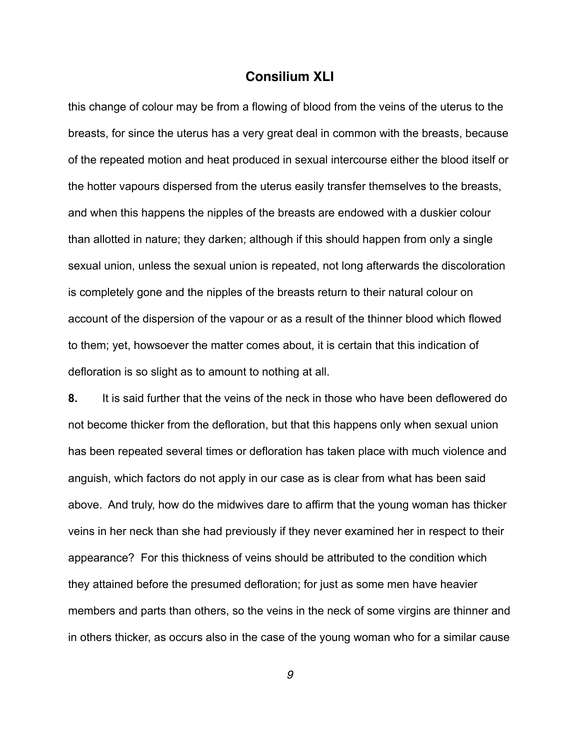this change of colour may be from a flowing of blood from the veins of the uterus to the breasts, for since the uterus has a very great deal in common with the breasts, because of the repeated motion and heat produced in sexual intercourse either the blood itself or the hotter vapours dispersed from the uterus easily transfer themselves to the breasts, and when this happens the nipples of the breasts are endowed with a duskier colour than allotted in nature; they darken; although if this should happen from only a single sexual union, unless the sexual union is repeated, not long afterwards the discoloration is completely gone and the nipples of the breasts return to their natural colour on account of the dispersion of the vapour or as a result of the thinner blood which flowed to them; yet, howsoever the matter comes about, it is certain that this indication of defloration is so slight as to amount to nothing at all.

**8.** It is said further that the veins of the neck in those who have been deflowered do not become thicker from the defloration, but that this happens only when sexual union has been repeated several times or defloration has taken place with much violence and anguish, which factors do not apply in our case as is clear from what has been said above. And truly, how do the midwives dare to affirm that the young woman has thicker veins in her neck than she had previously if they never examined her in respect to their appearance? For this thickness of veins should be attributed to the condition which they attained before the presumed defloration; for just as some men have heavier members and parts than others, so the veins in the neck of some virgins are thinner and in others thicker, as occurs also in the case of the young woman who for a similar cause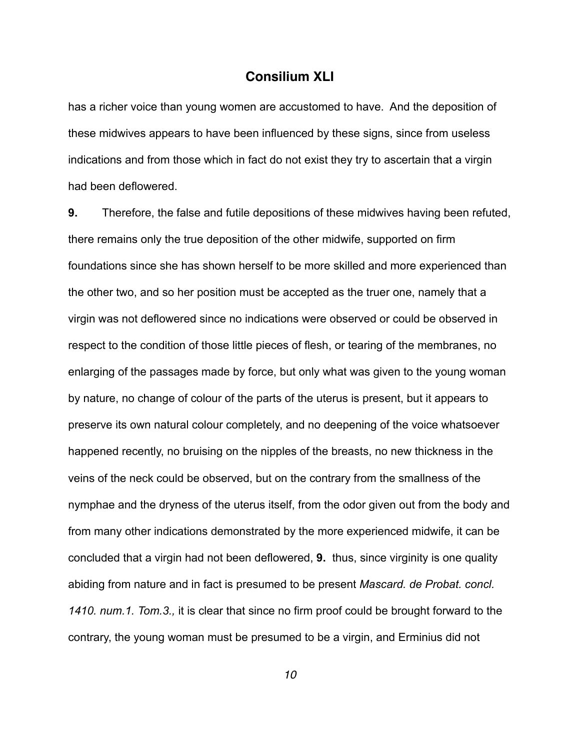has a richer voice than young women are accustomed to have. And the deposition of these midwives appears to have been influenced by these signs, since from useless indications and from those which in fact do not exist they try to ascertain that a virgin had been deflowered.

**9.** Therefore, the false and futile depositions of these midwives having been refuted, there remains only the true deposition of the other midwife, supported on firm foundations since she has shown herself to be more skilled and more experienced than the other two, and so her position must be accepted as the truer one, namely that a virgin was not deflowered since no indications were observed or could be observed in respect to the condition of those little pieces of flesh, or tearing of the membranes, no enlarging of the passages made by force, but only what was given to the young woman by nature, no change of colour of the parts of the uterus is present, but it appears to preserve its own natural colour completely, and no deepening of the voice whatsoever happened recently, no bruising on the nipples of the breasts, no new thickness in the veins of the neck could be observed, but on the contrary from the smallness of the nymphae and the dryness of the uterus itself, from the odor given out from the body and from many other indications demonstrated by the more experienced midwife, it can be concluded that a virgin had not been deflowered, **9.** thus, since virginity is one quality abiding from nature and in fact is presumed to be present *Mascard. de Probat. concl. 1410. num.1. Tom.3.,* it is clear that since no firm proof could be brought forward to the contrary, the young woman must be presumed to be a virgin, and Erminius did not